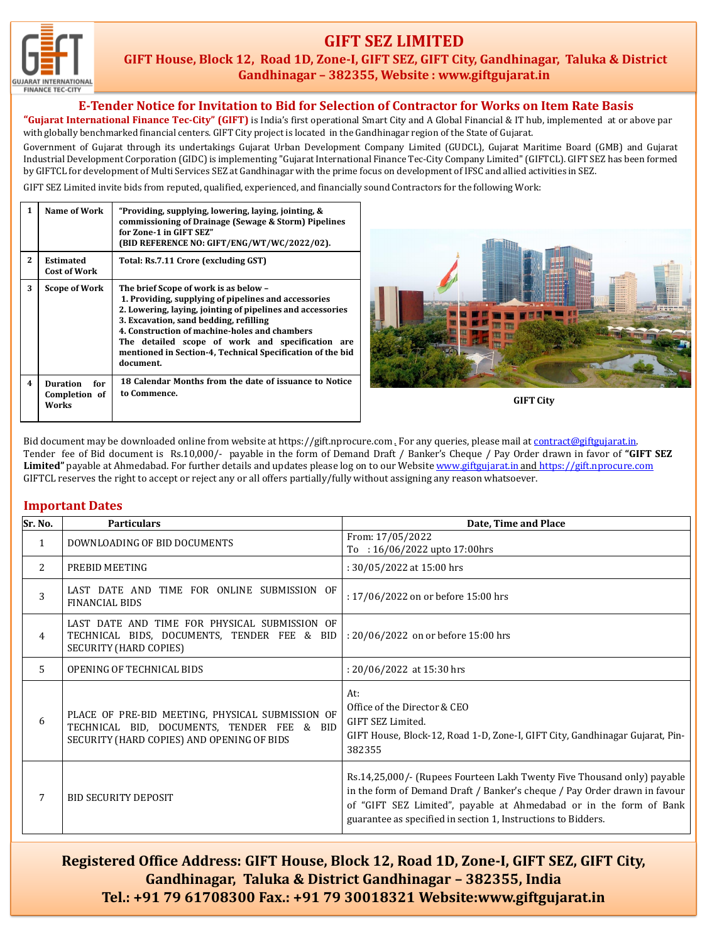

## **GIFT SEZ LIMITED**

**GIFT House, Block 12, Road 1D, Zone-I, GIFT SEZ, GIFT City, Gandhinagar, Taluka & District Gandhinagar – 382355, Website : www.giftgujarat.in**

#### **E-Tender Notice for Invitation to Bid for Selection of Contractor for Works on Item Rate Basis**

**"Gujarat International Finance Tec-City" (GIFT)** is India's first operational Smart City and A Global Financial & IT hub, implemented at or above par with globally benchmarked financial centers. GIFT City project is located in the Gandhinagar region of the State of Gujarat.

Government of Gujarat through its undertakings Gujarat Urban Development Company Limited (GUDCL), Gujarat Maritime Board (GMB) and Gujarat Industrial Development Corporation (GIDC) is implementing "Gujarat International Finance Tec-City Company Limited" (GIFTCL). GIFT SEZ has been formed by GIFTCL for development of Multi Services SEZ at Gandhinagar with the prime focus on development of IFSC and allied activities in SEZ.

GIFT SEZ Limited invite bids from reputed, qualified, experienced, and financially sound Contractors for the following Work:

|   | Name of Work                              | "Providing, supplying, lowering, laying, jointing, &<br>commissioning of Drainage (Sewage & Storm) Pipelines<br>for Zone-1 in GIFT SEZ"<br>(BID REFERENCE NO: GIFT/ENG/WT/WC/2022/02).                                                                                                                                                                                                |                  |
|---|-------------------------------------------|---------------------------------------------------------------------------------------------------------------------------------------------------------------------------------------------------------------------------------------------------------------------------------------------------------------------------------------------------------------------------------------|------------------|
| 2 | <b>Estimated</b><br><b>Cost of Work</b>   | Total: Rs.7.11 Crore (excluding GST)                                                                                                                                                                                                                                                                                                                                                  |                  |
| 3 | <b>Scope of Work</b>                      | The brief Scope of work is as below -<br>1. Providing, supplying of pipelines and accessories<br>2. Lowering, laying, jointing of pipelines and accessories<br>3. Excavation, sand bedding, refilling<br>4. Construction of machine-holes and chambers<br>The detailed scope of work and specification are<br>mentioned in Section-4, Technical Specification of the bid<br>document. |                  |
| 4 | Duration<br>for<br>Completion of<br>Works | 18 Calendar Months from the date of issuance to Notice<br>to Commence.                                                                                                                                                                                                                                                                                                                | <b>GIFT City</b> |

Bid document may be downloaded online from website at https://gift.nprocure.com . For any queries, please mail at [contract@giftgujarat.in](mailto:contract@giftgujarat.in). Tender fee of Bid document is Rs.10,000/- payable in the form of Demand Draft / Banker's Cheque / Pay Order drawn in favor of **"GIFT SEZ** Limited" payable at Ahmedabad. For further details and updates please log on to our Website [www.giftgujarat.in](http://www.giftgujarat.in/) and [https://gift.nprocure.com](mailto:upd@giftgujarat.in) GIFTCL reserves the right to accept or reject any or all offers partially/fully without assigning any reason whatsoever.

### **Important Dates**

| Sr. No.      | <b>Particulars</b>                                                                                                                           | Date, Time and Place                                                                                                                                                                                                                                                                        |
|--------------|----------------------------------------------------------------------------------------------------------------------------------------------|---------------------------------------------------------------------------------------------------------------------------------------------------------------------------------------------------------------------------------------------------------------------------------------------|
| $\mathbf{1}$ | DOWNLOADING OF BID DOCUMENTS                                                                                                                 | From: 17/05/2022<br>To : $16/06/2022$ upto 17:00hrs                                                                                                                                                                                                                                         |
| 2            | PREBID MEETING                                                                                                                               | : 30/05/2022 at 15:00 hrs                                                                                                                                                                                                                                                                   |
| 3            | LAST DATE AND TIME FOR ONLINE SUBMISSION OF<br><b>FINANCIAL BIDS</b>                                                                         | : 17/06/2022 on or before 15:00 hrs                                                                                                                                                                                                                                                         |
| 4            | LAST DATE AND TIME FOR PHYSICAL SUBMISSION OF<br>TECHNICAL BIDS, DOCUMENTS, TENDER FEE & BID<br><b>SECURITY (HARD COPIES)</b>                | : 20/06/2022 on or before 15:00 hrs                                                                                                                                                                                                                                                         |
| 5            | OPENING OF TECHNICAL BIDS                                                                                                                    | : $20/06/2022$ at 15:30 hrs                                                                                                                                                                                                                                                                 |
| 6            | PLACE OF PRE-BID MEETING, PHYSICAL SUBMISSION OF<br>TECHNICAL BID, DOCUMENTS, TENDER FEE & BID<br>SECURITY (HARD COPIES) AND OPENING OF BIDS | At:<br>Office of the Director & CEO<br>GIFT SEZ Limited.<br>GIFT House, Block-12, Road 1-D, Zone-I, GIFT City, Gandhinagar Gujarat, Pin-<br>382355                                                                                                                                          |
| 7            | <b>BID SECURITY DEPOSIT</b>                                                                                                                  | Rs.14,25,000/- (Rupees Fourteen Lakh Twenty Five Thousand only) payable<br>in the form of Demand Draft / Banker's cheque / Pay Order drawn in favour<br>of "GIFT SEZ Limited", payable at Ahmedabad or in the form of Bank<br>guarantee as specified in section 1, Instructions to Bidders. |

**Registered Office Address: GIFT House, Block 12, Road 1D, Zone-I, GIFT SEZ, GIFT City, Gandhinagar, Taluka & District Gandhinagar – 382355, India Tel.: +91 79 61708300 Fax.: +91 79 30018321 Website:www.giftgujarat.in**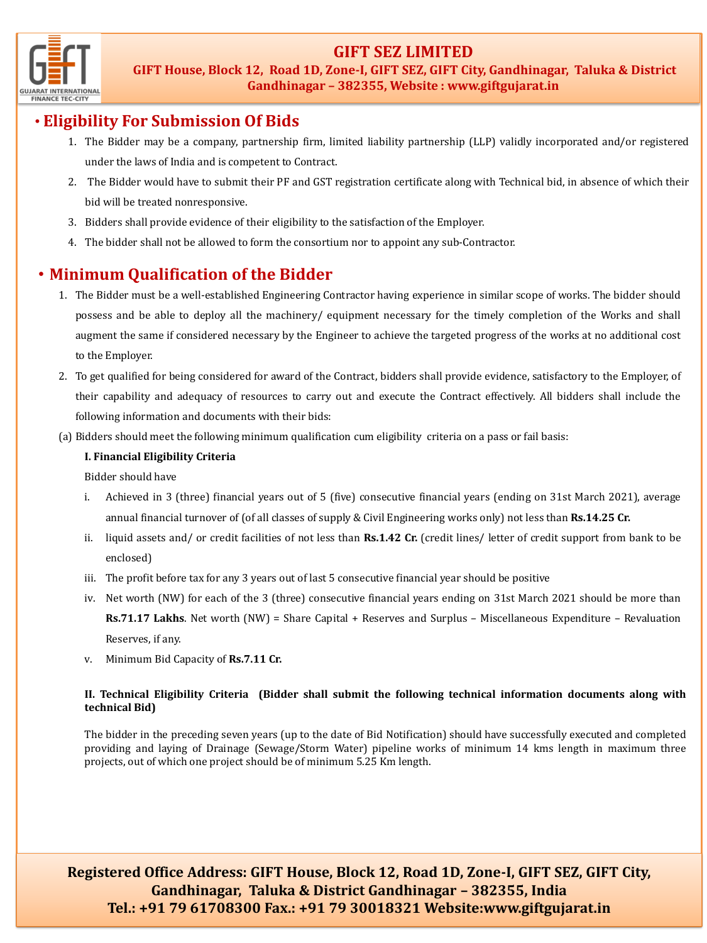## **GIFT SEZ LIMITED**



**GIFT House, Block 12, Road 1D, Zone-I, GIFT SEZ, GIFT City, Gandhinagar, Taluka & District Gandhinagar – 382355, Website : www.giftgujarat.in**

## • **Eligibility For Submission Of Bids**

- 1. The Bidder may be a company, partnership firm, limited liability partnership (LLP) validly incorporated and/or registered under the laws of India and is competent to Contract.
- 2. The Bidder would have to submit their PF and GST registration certificate along with Technical bid, in absence of which their bid will be treated nonresponsive.
- 3. Bidders shall provide evidence of their eligibility to the satisfaction of the Employer.
- 4. The bidder shall not be allowed to form the consortium nor to appoint any sub-Contractor.

# • **Minimum Qualification of the Bidder**

- 1. The Bidder must be a well-established Engineering Contractor having experience in similar scope of works. The bidder should possess and be able to deploy all the machinery/ equipment necessary for the timely completion of the Works and shall augment the same if considered necessary by the Engineer to achieve the targeted progress of the works at no additional cost to the Employer.
- 2. To get qualified for being considered for award of the Contract, bidders shall provide evidence, satisfactory to the Employer, of their capability and adequacy of resources to carry out and execute the Contract effectively. All bidders shall include the following information and documents with their bids:
- (a) Bidders should meet the following minimum qualification cum eligibility criteria on a pass or fail basis:

### **I. Financial Eligibility Criteria**

Bidder should have

- i. Achieved in 3 (three) financial years out of 5 (five) consecutive financial years (ending on 31st March 2021), average annual financial turnover of (of all classes of supply & Civil Engineering works only) not less than **Rs.14.25 Cr.**
- ii. liquid assets and/ or credit facilities of not less than **Rs.1.42 Cr.** (credit lines/ letter of credit support from bank to be enclosed)
- iii. The profit before tax for any 3 years out of last 5 consecutive financial year should be positive
- iv. Net worth (NW) for each of the 3 (three) consecutive financial years ending on 31st March 2021 should be more than **Rs.71.17 Lakhs**. Net worth (NW) = Share Capital + Reserves and Surplus – Miscellaneous Expenditure – Revaluation Reserves, if any.
- v. Minimum Bid Capacity of **Rs.7.11 Cr.**

### **II. Technical Eligibility Criteria (Bidder shall submit the following technical information documents along with technical Bid)**

The bidder in the preceding seven years (up to the date of Bid Notification) should have successfully executed and completed providing and laying of Drainage (Sewage/Storm Water) pipeline works of minimum 14 kms length in maximum three projects, out of which one project should be of minimum 5.25 Km length.

**Registered Office Address: GIFT House, Block 12, Road 1D, Zone-I, GIFT SEZ, GIFT City, Gandhinagar, Taluka & District Gandhinagar – 382355, India Tel.: +91 79 61708300 Fax.: +91 79 30018321 Website:www.giftgujarat.in**